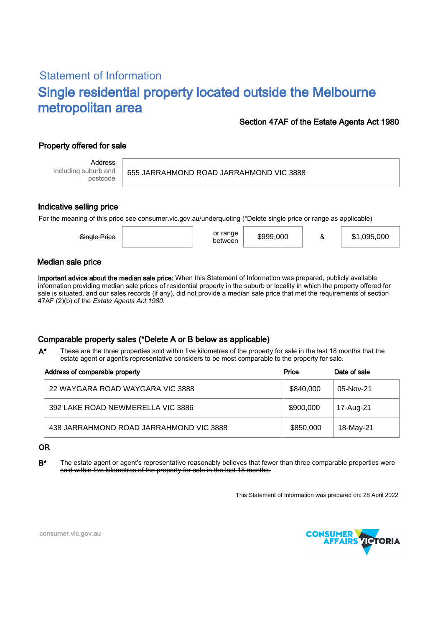# Statement of Information Single residential property located outside the Melbourne metropolitan area

# Section 47AF of the Estate Agents Act 1980

# Property offered for sale

Address Including suburb and postcode

655 JARRAHMOND ROAD JARRAHMOND VIC 3888

### Indicative selling price

For the meaning of this price see consumer.vic.gov.au/underquoting (\*Delete single price or range as applicable)

### Median sale price

Important advice about the median sale price: When this Statement of Information was prepared, publicly available information providing median sale prices of residential property in the suburb or locality in which the property offered for sale is situated, and our sales records (if any), did not provide a median sale price that met the requirements of section 47AF (2)(b) of the Estate Agents Act 1980.

# Comparable property sales (\*Delete A or B below as applicable)

These are the three properties sold within five kilometres of the property for sale in the last 18 months that the estate agent or agent's representative considers to be most comparable to the property for sale. A\*

| Address of comparable property          | Price     | Date of sale |
|-----------------------------------------|-----------|--------------|
| 22 WAYGARA ROAD WAYGARA VIC 3888        | \$840,000 | 05-Nov-21    |
| 392 LAKE ROAD NEWMERELLA VIC 3886       | \$900,000 | 17-Aug-21    |
| 438 JARRAHMOND ROAD JARRAHMOND VIC 3888 | \$850,000 | 18-May-21    |

#### OR

B<sup>\*</sup> The estate agent or agent's representative reasonably believes that fewer than three comparable properties were sold within five kilometres of the property for sale in the last 18 months.

This Statement of Information was prepared on: 28 April 2022



consumer.vic.gov.au